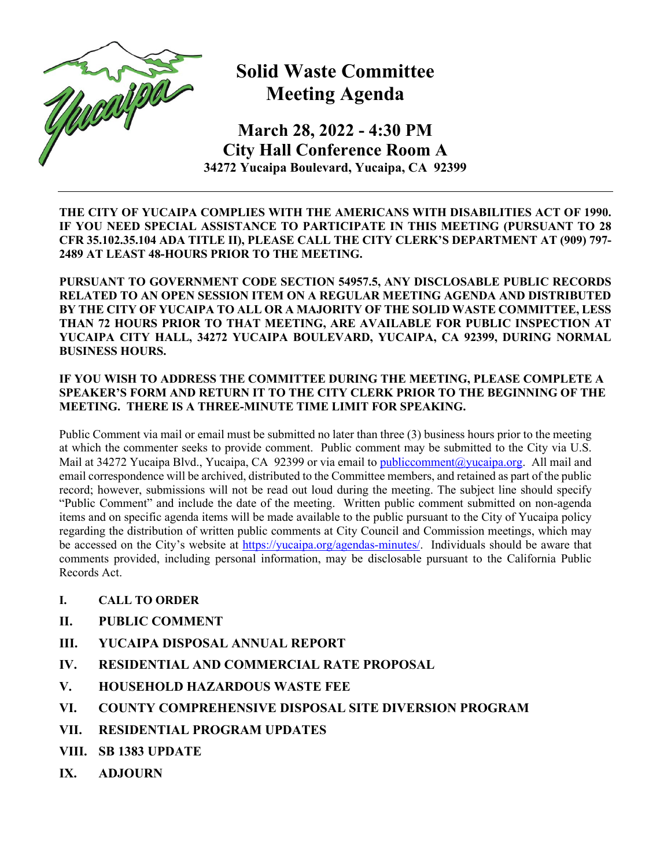

## **Solid Waste Committee Meeting Agenda**

**March 28, 2022 - 4:30 PM City Hall Conference Room A 34272 Yucaipa Boulevard, Yucaipa, CA 92399**

**THE CITY OF YUCAIPA COMPLIES WITH THE AMERICANS WITH DISABILITIES ACT OF 1990. IF YOU NEED SPECIAL ASSISTANCE TO PARTICIPATE IN THIS MEETING (PURSUANT TO 28 CFR 35.102.35.104 ADA TITLE II), PLEASE CALL THE CITY CLERK'S DEPARTMENT AT (909) 797- 2489 AT LEAST 48-HOURS PRIOR TO THE MEETING.**

**PURSUANT TO GOVERNMENT CODE SECTION 54957.5, ANY DISCLOSABLE PUBLIC RECORDS RELATED TO AN OPEN SESSION ITEM ON A REGULAR MEETING AGENDA AND DISTRIBUTED BY THE CITY OF YUCAIPA TO ALL OR A MAJORITY OF THE SOLID WASTE COMMITTEE, LESS THAN 72 HOURS PRIOR TO THAT MEETING, ARE AVAILABLE FOR PUBLIC INSPECTION AT YUCAIPA CITY HALL, 34272 YUCAIPA BOULEVARD, YUCAIPA, CA 92399, DURING NORMAL BUSINESS HOURS.**

## **IF YOU WISH TO ADDRESS THE COMMITTEE DURING THE MEETING, PLEASE COMPLETE A SPEAKER'S FORM AND RETURN IT TO THE CITY CLERK PRIOR TO THE BEGINNING OF THE MEETING. THERE IS A THREE-MINUTE TIME LIMIT FOR SPEAKING.**

Public Comment via mail or email must be submitted no later than three (3) business hours prior to the meeting at which the commenter seeks to provide comment. Public comment may be submitted to the City via U.S. Mail at 34272 Yucaipa Blvd., Yucaipa, CA 92399 or via email t[o publiccomment@yucaipa.org.](mailto:publiccomment@yucaipa.org) All mail and email correspondence will be archived, distributed to the Committee members, and retained as part of the public record; however, submissions will not be read out loud during the meeting. The subject line should specify "Public Comment" and include the date of the meeting. Written public comment submitted on non-agenda items and on specific agenda items will be made available to the public pursuant to the City of Yucaipa policy regarding the distribution of written public comments at City Council and Commission meetings, which may be accessed on the City's website at [https://yucaipa.org/agendas-minutes/.](https://linkprotect.cudasvc.com/url?a=https%3a%2f%2fyucaipa.org%2fagendas-minutes%2f&c=E,1,8iu_aLaCQsOmYjnWdhNeQgU9-XVoB5a0CzOs_nrmw5nAY-k_y7XZa3JAnXx2dduIQhERc5pzGH0uA9TG0OvmT6S6_YXFTmLh8Gy4-DGG9zUALHtuXEtWj2x5&typo=1) Individuals should be aware that comments provided, including personal information, may be disclosable pursuant to the California Public Records Act.

- **I. CALL TO ORDER**
- **II. PUBLIC COMMENT**
- **III. [YUCAIPA DISPOSAL ANNUAL REPORT](http://www.yucaipa.org/wp-content/uploads/Agendas/Solid%20Waste/2019_AnnualReport.pdf)**
- **IV. [RESIDENTIAL AND COMMERCIAL RATE PROPOSAL](http://www.yucaipa.org/wp-content/uploads/Agendas/Solid%20Waste/2020_RateProposal1.pdf)**
- **V. HOUSEHOLD HAZARDOUS WASTE FEE**
- **VI. COUNTY COMPREHENSIVE DISPOSAL SITE DIVERSION PROGRAM**
- **VII. RESIDENTIAL PROGRAM UPDATES**
- **VIII. SB 1383 UPDATE**
- **IX. ADJOURN**